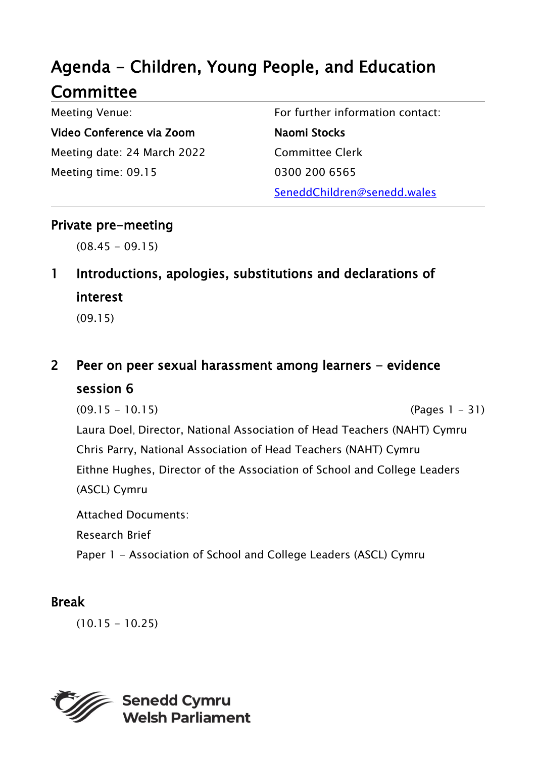# Agenda - Children, Young People, and Education **Committee**

Meeting Venue: Video Conference via Zoom Meeting date: 24 March 2022 Meeting time: 09.15

For further information contact: Naomi Stocks Committee Clerk 0300 200 6565 SeneddChildren@senedd.wales

## Private pre-meeting

 $(08.45 - 09.15)$ 

# 1 Introductions, apologies, substitutions and declarations of interest

(09.15)

## 2 Peer on peer sexual harassment among learners - evidence session 6

(09.15 - 10.15) (Pages 1 - 31)

Laura Doel, Director, National Association of Head Teachers (NAHT) Cymru Chris Parry, National Association of Head Teachers (NAHT) Cymru Eithne Hughes, Director of the Association of School and College Leaders (ASCL) Cymru

Attached Documents:

Research Brief

Paper 1 - Association of School and College Leaders (ASCL) Cymru

## Break

 $(10.15 - 10.25)$ 

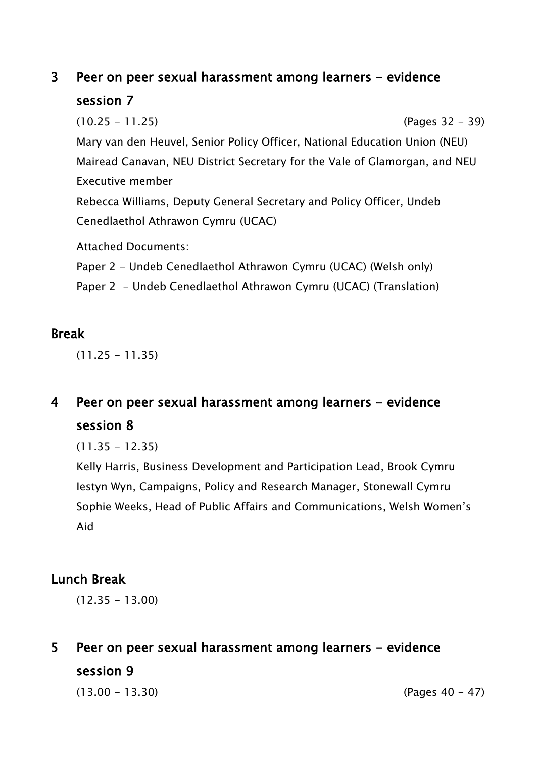## 3 Peer on peer sexual harassment among learners - evidence session 7

(10.25 - 11.25) (Pages 32 - 39) Mary van den Heuvel, Senior Policy Officer, National Education Union (NEU) Mairead Canavan, NEU District Secretary for the Vale of Glamorgan, and NEU Executive member Rebecca Williams, Deputy General Secretary and Policy Officer, Undeb

Cenedlaethol Athrawon Cymru (UCAC)

Attached Documents:

Paper 2 - Undeb Cenedlaethol Athrawon Cymru (UCAC) (Welsh only)

Paper 2 - Undeb Cenedlaethol Athrawon Cymru (UCAC) (Translation)

### Break

 $(11.25 - 11.35)$ 

## 4 Peer on peer sexual harassment among learners - evidence session 8

 $(11.35 - 12.35)$ 

Kelly Harris, Business Development and Participation Lead, Brook Cymru Iestyn Wyn, Campaigns, Policy and Research Manager, Stonewall Cymru Sophie Weeks, Head of Public Affairs and Communications, Welsh Women's Aid

## Lunch Break

 $(12.35 - 13.00)$ 

5 Peer on peer sexual harassment among learners - evidence session 9

 $(13.00 - 13.30)$  (Pages 40 - 47)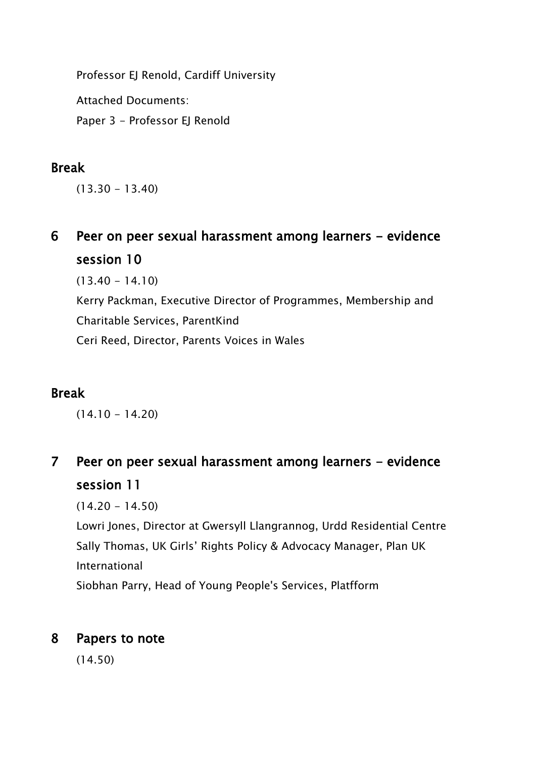Professor EJ Renold, Cardiff University

Attached Documents:

Paper 3 - Professor EJ Renold

## Break

 $(13.30 - 13.40)$ 

6 Peer on peer sexual harassment among learners - evidence session 10

 $(13.40 - 14.10)$ 

Kerry Packman, Executive Director of Programmes, Membership and Charitable Services, ParentKind Ceri Reed, Director, Parents Voices in Wales

## Break

 $(14.10 - 14.20)$ 

7 Peer on peer sexual harassment among learners - evidence session 11

 $(14.20 - 14.50)$ 

Lowri Jones, Director at Gwersyll Llangrannog, Urdd Residential Centre Sally Thomas, UK Girls' Rights Policy & Advocacy Manager, Plan UK International

Siobhan Parry, Head of Young People's Services, Platfform

## 8 Papers to note

(14.50)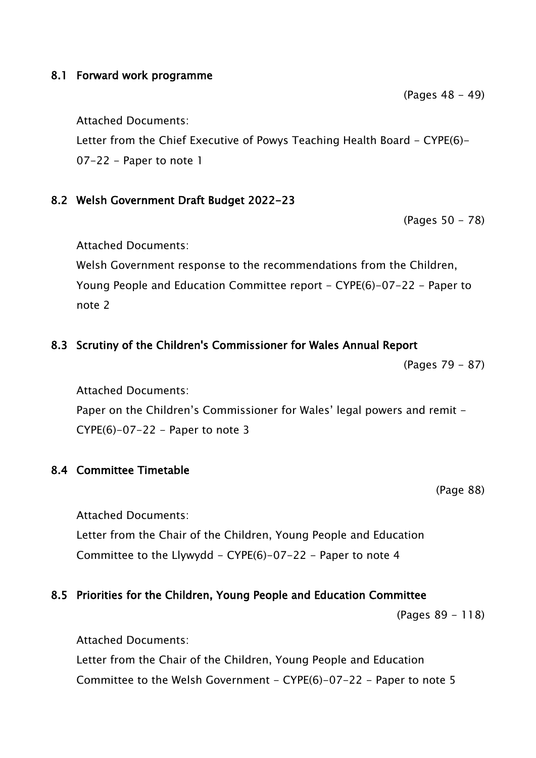#### 8.1 Forward work programme

Attached Documents:

Letter from the Chief Executive of Powys Teaching Health Board - CYPE(6)-07-22 - Paper to note 1

#### 8.2 Welsh Government Draft Budget 2022-23

(Pages 50 - 78)

Attached Documents:

Welsh Government response to the recommendations from the Children, Young People and Education Committee report - CYPE(6)-07-22 - Paper to note 2

### 8.3 Scrutiny of the Children's Commissioner for Wales Annual Report

(Pages 79 - 87)

Attached Documents: Paper on the Children's Commissioner for Wales' legal powers and remit - $CYPE(6)-07-22$  - Paper to note 3

#### 8.4 Committee Timetable

(Page 88)

Attached Documents:

Letter from the Chair of the Children, Young People and Education Committee to the Llywydd - CYPE(6)-07-22 - Paper to note 4

### 8.5 Priorities for the Children, Young People and Education Committee

(Pages 89 - 118)

Attached Documents:

Letter from the Chair of the Children, Young People and Education Committee to the Welsh Government -  $CYPE(6)-07-22$  - Paper to note 5

(Pages 48 - 49)